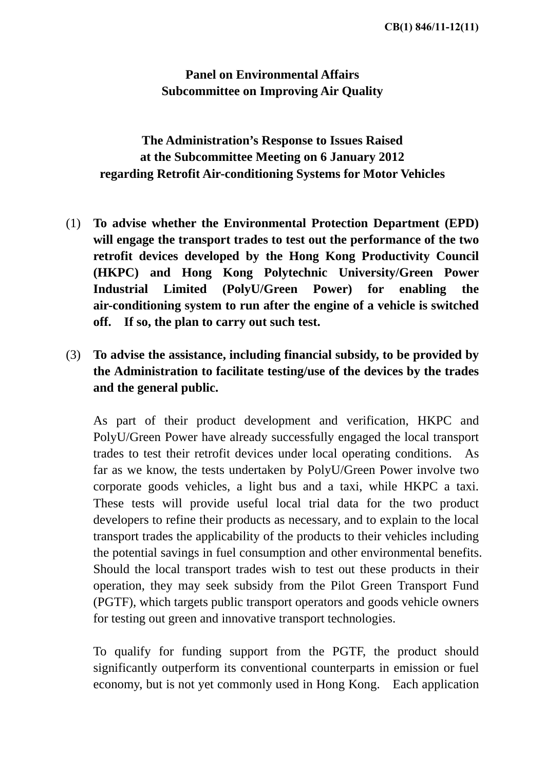**Panel on Environmental Affairs Subcommittee on Improving Air Quality** 

**The Administration's Response to Issues Raised at the Subcommittee Meeting on 6 January 2012 regarding Retrofit Air-conditioning Systems for Motor Vehicles** 

- (1) **To advise whether the Environmental Protection Department (EPD) will engage the transport trades to test out the performance of the two retrofit devices developed by the Hong Kong Productivity Council (HKPC) and Hong Kong Polytechnic University/Green Power Industrial Limited (PolyU/Green Power) for enabling the air-conditioning system to run after the engine of a vehicle is switched off. If so, the plan to carry out such test.**
- (3) **To advise the assistance, including financial subsidy, to be provided by the Administration to facilitate testing/use of the devices by the trades and the general public.**

 As part of their product development and verification, HKPC and PolyU/Green Power have already successfully engaged the local transport trades to test their retrofit devices under local operating conditions. As far as we know, the tests undertaken by PolyU/Green Power involve two corporate goods vehicles, a light bus and a taxi, while HKPC a taxi. These tests will provide useful local trial data for the two product developers to refine their products as necessary, and to explain to the local transport trades the applicability of the products to their vehicles including the potential savings in fuel consumption and other environmental benefits. Should the local transport trades wish to test out these products in their operation, they may seek subsidy from the Pilot Green Transport Fund (PGTF), which targets public transport operators and goods vehicle owners for testing out green and innovative transport technologies.

 To qualify for funding support from the PGTF, the product should significantly outperform its conventional counterparts in emission or fuel economy, but is not yet commonly used in Hong Kong. Each application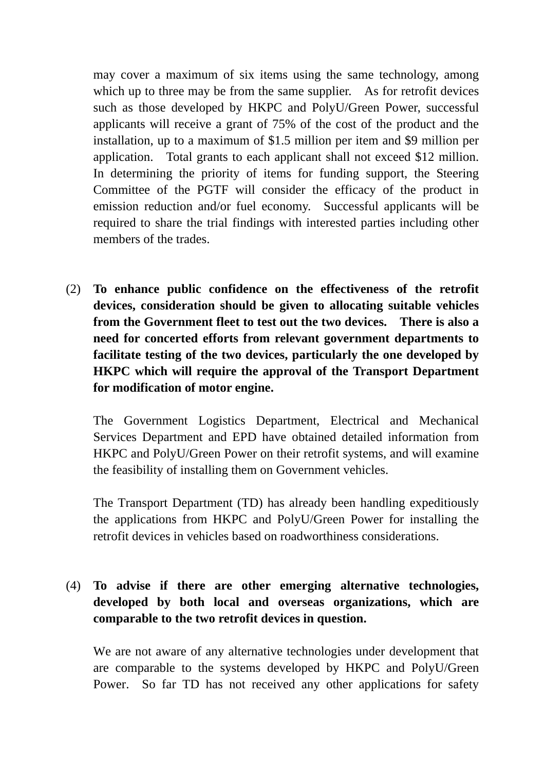may cover a maximum of six items using the same technology, among which up to three may be from the same supplier. As for retrofit devices such as those developed by HKPC and PolyU/Green Power, successful applicants will receive a grant of 75% of the cost of the product and the installation, up to a maximum of \$1.5 million per item and \$9 million per application. Total grants to each applicant shall not exceed \$12 million. In determining the priority of items for funding support, the Steering Committee of the PGTF will consider the efficacy of the product in emission reduction and/or fuel economy. Successful applicants will be required to share the trial findings with interested parties including other members of the trades.

(2) **To enhance public confidence on the effectiveness of the retrofit devices, consideration should be given to allocating suitable vehicles from the Government fleet to test out the two devices. There is also a need for concerted efforts from relevant government departments to facilitate testing of the two devices, particularly the one developed by HKPC which will require the approval of the Transport Department for modification of motor engine.** 

 The Government Logistics Department, Electrical and Mechanical Services Department and EPD have obtained detailed information from HKPC and PolyU/Green Power on their retrofit systems, and will examine the feasibility of installing them on Government vehicles.

 The Transport Department (TD) has already been handling expeditiously the applications from HKPC and PolyU/Green Power for installing the retrofit devices in vehicles based on roadworthiness considerations.

## (4) **To advise if there are other emerging alternative technologies, developed by both local and overseas organizations, which are comparable to the two retrofit devices in question.**

 We are not aware of any alternative technologies under development that are comparable to the systems developed by HKPC and PolyU/Green Power. So far TD has not received any other applications for safety